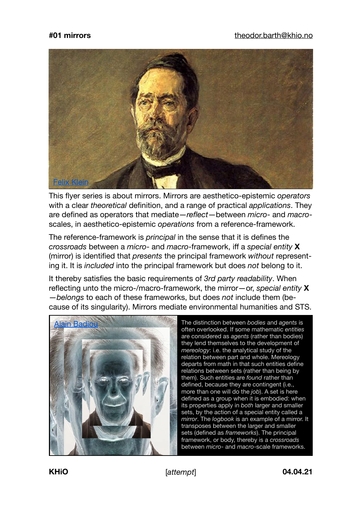

This flyer series is about mirrors. Mirrors are aesthetico-epistemic *operators* with a clear *theoretical* definition, and a range of practical *applications*. They are defined as operators that mediate—*reflect*—between *micro*- and *macro*scales, in aesthetico-epistemic *operations* from a reference-framework.

The reference-framework is *principal* in the sense that it is defines the *crossroads* between a *micro*- and *macro*-framework, iff a *special entity* **X** (mirror) is identified that *presents* the principal framework *without* representing it. It is *included* into the principal framework but does *not* belong to it.

It thereby satisfies the basic requirements of *3rd party readability*. When reflecting unto the micro-/macro-framework, the mirror—or, *special entity* **X** —*belongs* to each of these frameworks, but does *not* include them (because of its singularity). Mirrors mediate environmental humanities and STS.



The distinction between *bodies* and *agents* is often overlooked. If some mathematic *entities* are considered as *agents* (rather than bodies) they lend themselves to the development of *mereology*: i.e. the analytical study of the relation between part and whole. Mereology departs from math in that such entities define relations between sets (rather than being by them). Such entities are *found* rather than defined, because they are contingent (i.e., more than one will do the *job*). A set is here defined as a group when it is embodied: when its properties apply in *both* larger and smaller sets, by the action of a special entity called a *mirror*. The *logbook* is an example of a mirror. It transposes between the larger and smaller sets (defined as *frameworks*). The principal framework, or body, thereby is a *crossroads* between *micro*- and *macro*-scale frameworks.